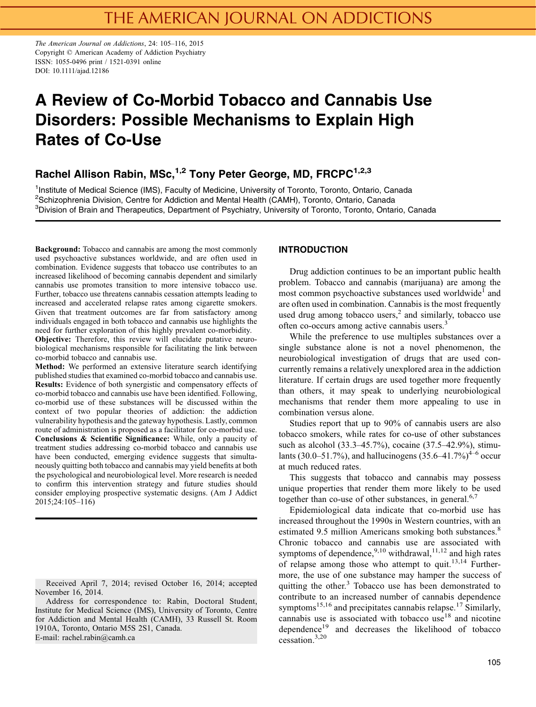The American Journal on Addictions, 24: 105–116, 2015 Copyright © American Academy of Addiction Psychiatry ISSN: 1055-0496 print / 1521-0391 online DOI: 10.1111/ajad.12186

# A Review of Co-Morbid Tobacco and Cannabis Use Disorders: Possible Mechanisms to Explain High Rates of Co-Use

# Rachel Allison Rabin, MSc,<sup>1,2</sup> Tony Peter George, MD, FRCPC<sup>1,2,3</sup>

<sup>1</sup>Institute of Medical Science (IMS), Faculty of Medicine, University of Toronto, Toronto, Ontario, Canada <sup>2</sup>Schizophrenia Division, Centre for Addiction and Mental Health (CAMH), Toronto, Ontario, Canada <sup>3</sup>Division of Brain and Therapeutics, Department of Psychiatry, University of Toronto, Toronto, Ontario, Canada

Background: Tobacco and cannabis are among the most commonly used psychoactive substances worldwide, and are often used in combination. Evidence suggests that tobacco use contributes to an increased likelihood of becoming cannabis dependent and similarly cannabis use promotes transition to more intensive tobacco use. Further, tobacco use threatens cannabis cessation attempts leading to increased and accelerated relapse rates among cigarette smokers. Given that treatment outcomes are far from satisfactory among individuals engaged in both tobacco and cannabis use highlights the need for further exploration of this highly prevalent co-morbidity.

Objective: Therefore, this review will elucidate putative neurobiological mechanisms responsible for facilitating the link between co-morbid tobacco and cannabis use.

Method: We performed an extensive literature search identifying published studies that examined co-morbid tobacco and cannabis use. Results: Evidence of both synergistic and compensatory effects of co-morbid tobacco and cannabis use have been identified. Following, co-morbid use of these substances will be discussed within the context of two popular theories of addiction: the addiction vulnerability hypothesis and the gateway hypothesis. Lastly, common route of administration is proposed as a facilitator for co-morbid use. Conclusions & Scientific Significance: While, only a paucity of treatment studies addressing co-morbid tobacco and cannabis use have been conducted, emerging evidence suggests that simultaneously quitting both tobacco and cannabis may yield benefits at both the psychological and neurobiological level. More research is needed to confirm this intervention strategy and future studies should consider employing prospective systematic designs. (Am J Addict 2015;24:105–116)

#### INTRODUCTION

Drug addiction continues to be an important public health problem. Tobacco and cannabis (marijuana) are among the most common psychoactive substances used worldwide<sup>1</sup> and are often used in combination. Cannabis is the most frequently used drug among tobacco users, $<sup>2</sup>$  and similarly, tobacco use</sup> often co-occurs among active cannabis users.<sup>3</sup>

While the preference to use multiples substances over a single substance alone is not a novel phenomenon, the neurobiological investigation of drugs that are used concurrently remains a relatively unexplored area in the addiction literature. If certain drugs are used together more frequently than others, it may speak to underlying neurobiological mechanisms that render them more appealing to use in combination versus alone.

Studies report that up to 90% of cannabis users are also tobacco smokers, while rates for co-use of other substances such as alcohol (33.3–45.7%), cocaine (37.5–42.9%), stimulants (30.0–51.7%), and hallucinogens (35.6–41.7%)<sup>4–6</sup> occur at much reduced rates.

This suggests that tobacco and cannabis may possess unique properties that render them more likely to be used together than co-use of other substances, in general.<sup>6,7</sup>

Epidemiological data indicate that co-morbid use has increased throughout the 1990s in Western countries, with an estimated 9.5 million Americans smoking both substances.<sup>8</sup> Chronic tobacco and cannabis use are associated with symptoms of dependence,  $9,10$  withdrawal,  $11,12$  and high rates of relapse among those who attempt to quit.<sup>13,14</sup> Furthermore, the use of one substance may hamper the success of quitting the other. $3$  Tobacco use has been demonstrated to contribute to an increased number of cannabis dependence symptoms<sup>15,16</sup> and precipitates cannabis relapse.<sup>17</sup> Similarly, cannabis use is associated with tobacco use<sup>18</sup> and nicotine dependence<sup>19</sup> and decreases the likelihood of tobacco cessation.3,20

Received April 7, 2014; revised October 16, 2014; accepted November 16, 2014.

Address for correspondence to: Rabin, Doctoral Student, Institute for Medical Science (IMS), University of Toronto, Centre for Addiction and Mental Health (CAMH), 33 Russell St. Room 1910A, Toronto, Ontario M5S 2S1, Canada. E-mail: rachel.rabin@camh.ca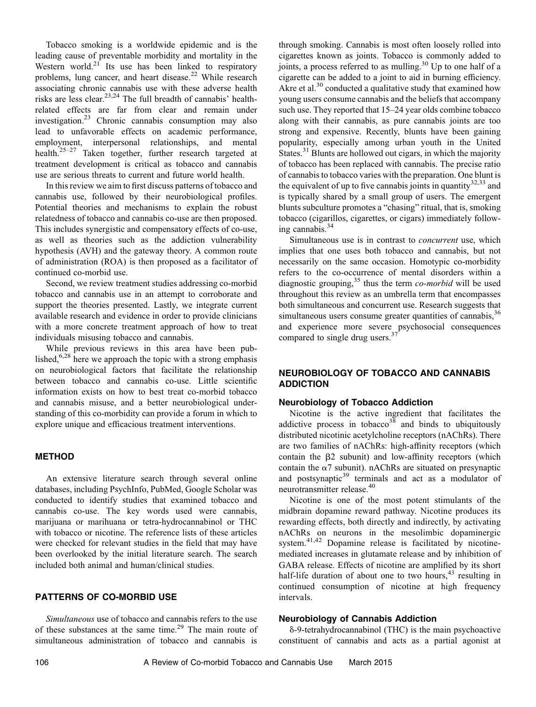Tobacco smoking is a worldwide epidemic and is the leading cause of preventable morbidity and mortality in the Western world.<sup>21</sup> Its use has been linked to respiratory problems, lung cancer, and heart disease.<sup>22</sup> While research associating chronic cannabis use with these adverse health risks are less clear.23,24 The full breadth of cannabis' healthrelated effects are far from clear and remain under investigation.<sup>23</sup> Chronic cannabis consumption may also lead to unfavorable effects on academic performance, employment, interpersonal relationships, and mental health.25–<sup>27</sup> Taken together, further research targeted at treatment development is critical as tobacco and cannabis use are serious threats to current and future world health.

In this review we aim to first discuss patterns of tobacco and cannabis use, followed by their neurobiological profiles. Potential theories and mechanisms to explain the robust relatedness of tobacco and cannabis co-use are then proposed. This includes synergistic and compensatory effects of co-use, as well as theories such as the addiction vulnerability hypothesis (AVH) and the gateway theory. A common route of administration (ROA) is then proposed as a facilitator of continued co-morbid use.

Second, we review treatment studies addressing co-morbid tobacco and cannabis use in an attempt to corroborate and support the theories presented. Lastly, we integrate current available research and evidence in order to provide clinicians with a more concrete treatment approach of how to treat individuals misusing tobacco and cannabis.

While previous reviews in this area have been published,  $6.28$  here we approach the topic with a strong emphasis on neurobiological factors that facilitate the relationship between tobacco and cannabis co-use. Little scientific information exists on how to best treat co-morbid tobacco and cannabis misuse, and a better neurobiological understanding of this co-morbidity can provide a forum in which to explore unique and efficacious treatment interventions.

#### METHOD

An extensive literature search through several online databases, including PsychInfo, PubMed, Google Scholar was conducted to identify studies that examined tobacco and cannabis co-use. The key words used were cannabis, marijuana or marihuana or tetra-hydrocannabinol or THC with tobacco or nicotine. The reference lists of these articles were checked for relevant studies in the field that may have been overlooked by the initial literature search. The search included both animal and human/clinical studies.

#### PATTERNS OF CO-MORBID USE

Simultaneous use of tobacco and cannabis refers to the use of these substances at the same time.<sup>29</sup> The main route of simultaneous administration of tobacco and cannabis is

through smoking. Cannabis is most often loosely rolled into cigarettes known as joints. Tobacco is commonly added to joints, a process referred to as mulling.<sup>30</sup> Up to one half of a cigarette can be added to a joint to aid in burning efficiency. Akre et al.<sup>30</sup> conducted a qualitative study that examined how young users consume cannabis and the beliefs that accompany such use. They reported that 15–24 year olds combine tobacco along with their cannabis, as pure cannabis joints are too strong and expensive. Recently, blunts have been gaining popularity, especially among urban youth in the United States. $31$  Blunts are hollowed out cigars, in which the majority of tobacco has been replaced with cannabis. The precise ratio of cannabis to tobacco varies with the preparation. One blunt is the equivalent of up to five cannabis joints in quantity<sup>32,33</sup> and is typically shared by a small group of users. The emergent blunts subculture promotes a "chasing" ritual, that is, smoking tobacco (cigarillos, cigarettes, or cigars) immediately following cannabis.<sup>34</sup>

Simultaneous use is in contrast to concurrent use, which implies that one uses both tobacco and cannabis, but not necessarily on the same occasion. Homotypic co-morbidity refers to the co-occurrence of mental disorders within a diagnostic grouping,<sup>35</sup> thus the term *co-morbid* will be used throughout this review as an umbrella term that encompasses both simultaneous and concurrent use. Research suggests that simultaneous users consume greater quantities of cannabis,  $36$ and experience more severe psychosocial consequences compared to single drug users.<sup>37</sup>

# NEUROBIOLOGY OF TOBACCO AND CANNABIS ADDICTION

#### Neurobiology of Tobacco Addiction

Nicotine is the active ingredient that facilitates the addictive process in tobacco<sup>38</sup> and binds to ubiquitously distributed nicotinic acetylcholine receptors (nAChRs). There are two families of nAChRs: high-affinity receptors (which contain the  $\beta$ 2 subunit) and low-affinity receptors (which contain the  $\alpha$ 7 subunit). nAChRs are situated on presynaptic and postsynaptic<sup>39</sup> terminals and act as a modulator of neurotransmitter release.<sup>40</sup>

Nicotine is one of the most potent stimulants of the midbrain dopamine reward pathway. Nicotine produces its rewarding effects, both directly and indirectly, by activating nAChRs on neurons in the mesolimbic dopaminergic system.<sup>41,42</sup> Dopamine release is facilitated by nicotinemediated increases in glutamate release and by inhibition of GABA release. Effects of nicotine are amplified by its short half-life duration of about one to two hours,  $43$  resulting in continued consumption of nicotine at high frequency intervals.

#### Neurobiology of Cannabis Addiction

d-9-tetrahydrocannabinol (THC) is the main psychoactive constituent of cannabis and acts as a partial agonist at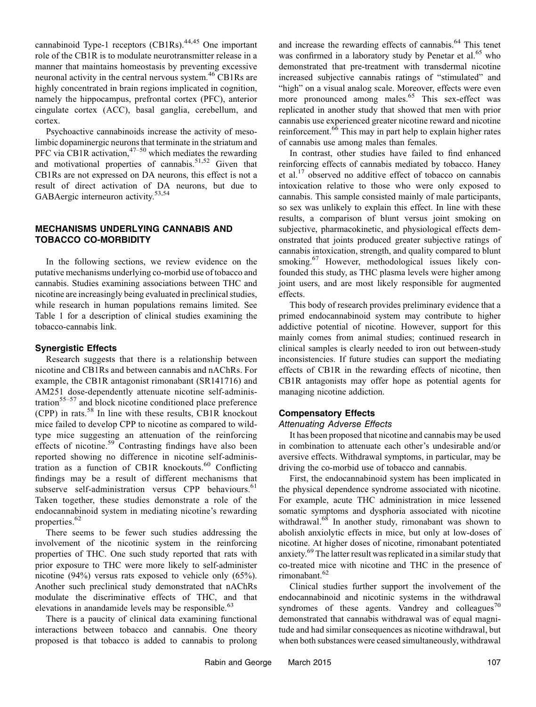cannabinoid Type-1 receptors (CB1Rs).<sup>44,45</sup> One important role of the CB1R is to modulate neurotransmitter release in a manner that maintains homeostasis by preventing excessive neuronal activity in the central nervous system.<sup>46</sup> CB1Rs are highly concentrated in brain regions implicated in cognition, namely the hippocampus, prefrontal cortex (PFC), anterior cingulate cortex (ACC), basal ganglia, cerebellum, and cortex.

Psychoactive cannabinoids increase the activity of mesolimbic dopaminergic neurons that terminate in the striatum and PFC via CB1R activation,  $47-50$  which mediates the rewarding and motivational properties of cannabis.<sup>51,52</sup> Given that CB1Rs are not expressed on DA neurons, this effect is not a result of direct activation of DA neurons, but due to GABAergic interneuron activity.<sup>53,54</sup>

# MECHANISMS UNDERLYING CANNABIS AND TOBACCO CO-MORBIDITY

In the following sections, we review evidence on the putative mechanisms underlying co-morbid use of tobacco and cannabis. Studies examining associations between THC and nicotine are increasingly being evaluated in preclinical studies, while research in human populations remains limited. See Table 1 for a description of clinical studies examining the tobacco-cannabis link.

# Synergistic Effects

Research suggests that there is a relationship between nicotine and CB1Rs and between cannabis and nAChRs. For example, the CB1R antagonist rimonabant (SR141716) and AM251 dose-dependently attenuate nicotine self-administration $55-57$  and block nicotine conditioned place preference (CPP) in rats.<sup>58</sup> In line with these results, CB1R knockout mice failed to develop CPP to nicotine as compared to wildtype mice suggesting an attenuation of the reinforcing effects of nicotine.<sup>59</sup> Contrasting findings have also been reported showing no difference in nicotine self-administration as a function of CB1R knockouts.<sup>60</sup> Conflicting findings may be a result of different mechanisms that subserve self-administration versus CPP behaviours.<sup>61</sup> Taken together, these studies demonstrate a role of the endocannabinoid system in mediating nicotine's rewarding properties.<sup>62</sup>

There seems to be fewer such studies addressing the involvement of the nicotinic system in the reinforcing properties of THC. One such study reported that rats with prior exposure to THC were more likely to self-administer nicotine (94%) versus rats exposed to vehicle only (65%). Another such preclinical study demonstrated that nAChRs modulate the discriminative effects of THC, and that elevations in anandamide levels may be responsible.<sup>63</sup>

There is a paucity of clinical data examining functional interactions between tobacco and cannabis. One theory proposed is that tobacco is added to cannabis to prolong

and increase the rewarding effects of cannabis.<sup>64</sup> This tenet was confirmed in a laboratory study by Penetar et al.<sup>65</sup> who demonstrated that pre-treatment with transdermal nicotine increased subjective cannabis ratings of "stimulated" and "high" on a visual analog scale. Moreover, effects were even more pronounced among males.<sup>65</sup> This sex-effect was replicated in another study that showed that men with prior cannabis use experienced greater nicotine reward and nicotine reinforcement.<sup>66</sup> This may in part help to explain higher rates of cannabis use among males than females.

In contrast, other studies have failed to find enhanced reinforcing effects of cannabis mediated by tobacco. Haney et al.<sup>17</sup> observed no additive effect of tobacco on cannabis intoxication relative to those who were only exposed to cannabis. This sample consisted mainly of male participants, so sex was unlikely to explain this effect. In line with these results, a comparison of blunt versus joint smoking on subjective, pharmacokinetic, and physiological effects demonstrated that joints produced greater subjective ratings of cannabis intoxication, strength, and quality compared to blunt smoking.<sup>67</sup> However, methodological issues likely confounded this study, as THC plasma levels were higher among joint users, and are most likely responsible for augmented effects.

This body of research provides preliminary evidence that a primed endocannabinoid system may contribute to higher addictive potential of nicotine. However, support for this mainly comes from animal studies; continued research in clinical samples is clearly needed to iron out between-study inconsistencies. If future studies can support the mediating effects of CB1R in the rewarding effects of nicotine, then CB1R antagonists may offer hope as potential agents for managing nicotine addiction.

#### Compensatory Effects

#### Attenuating Adverse Effects

It has been proposed that nicotine and cannabis may be used in combination to attenuate each other's undesirable and/or aversive effects. Withdrawal symptoms, in particular, may be driving the co-morbid use of tobacco and cannabis.

First, the endocannabinoid system has been implicated in the physical dependence syndrome associated with nicotine. For example, acute THC administration in mice lessened somatic symptoms and dysphoria associated with nicotine withdrawal.<sup>68</sup> In another study, rimonabant was shown to abolish anxiolytic effects in mice, but only at low-doses of nicotine. At higher doses of nicotine, rimonabant potentiated anxiety.<sup>69</sup> The latter result was replicated in a similar study that co-treated mice with nicotine and THC in the presence of rimonabant.<sup>62</sup>

Clinical studies further support the involvement of the endocannabinoid and nicotinic systems in the withdrawal syndromes of these agents. Vandrey and colleagues<sup>70</sup> demonstrated that cannabis withdrawal was of equal magnitude and had similar consequences as nicotine withdrawal, but when both substances were ceased simultaneously, withdrawal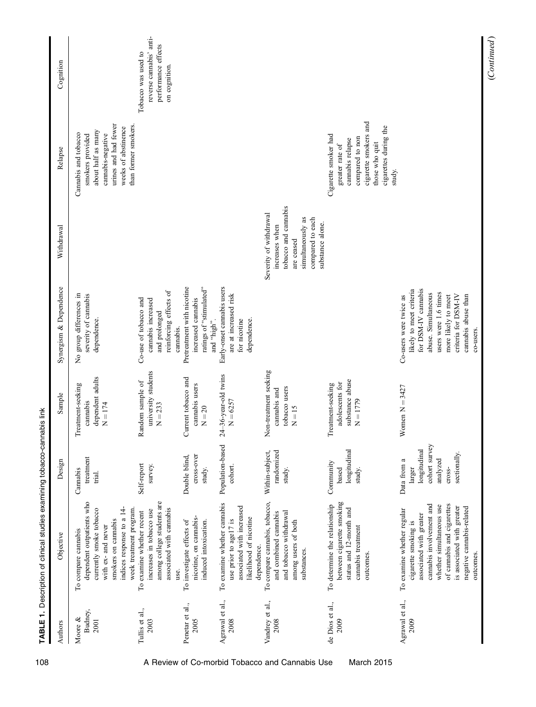| Authors                    | Objective                                                                                                                                                                                                                                   | Design                                                                                       | Sample                                                                | Synergism & Dependence                                                                                                                                                                                   | Withdrawal                                                                                                                                 | Relapse                                                                                                                                                      | Cognition                                                                              |
|----------------------------|---------------------------------------------------------------------------------------------------------------------------------------------------------------------------------------------------------------------------------------------|----------------------------------------------------------------------------------------------|-----------------------------------------------------------------------|----------------------------------------------------------------------------------------------------------------------------------------------------------------------------------------------------------|--------------------------------------------------------------------------------------------------------------------------------------------|--------------------------------------------------------------------------------------------------------------------------------------------------------------|----------------------------------------------------------------------------------------|
| Budney,<br>Moore &<br>2001 | dependent outpatients who<br>indices response to a 14-<br>currently smoke tobacco<br>week treatment program.<br>smokers on cannabis<br>with ex- and never<br>To compare cannabis                                                            | treatment<br>Cannabis<br>trial.                                                              | dependent adults<br>Treatment-seeking<br>cannabis<br>$N = 174$        | severity of cannabis<br>No group differences in<br>dependence.                                                                                                                                           |                                                                                                                                            | urines and had fewer<br>than former smokers.<br>weeks of abstinence<br>about half as many<br>Cannabis and tobacco<br>cannabis-negative<br>smokers provided   |                                                                                        |
| Tullis et al.,<br>2003     | among college students are<br>associated with cannabis<br>increases in tobacco use<br>To examine whether recent<br>use.                                                                                                                     | Self-report<br>survey.                                                                       | university students<br>Random sample of<br>$N = 233$                  | reinforcing effects of<br>Co-use of tobacco and<br>cannabis increased<br>and prolonged<br>cannabis.                                                                                                      |                                                                                                                                            |                                                                                                                                                              | reverse cannabis' anti-<br>performance effects<br>Tobacco was used to<br>on cognition. |
| Penetar et al.,<br>2005    | nicotine, on cannabis-<br>To investigate effects of<br>induced intoxication.                                                                                                                                                                | cross-over<br>Double blind,<br>study.                                                        | Current tobacco and<br>cannabis users<br>$N = 20$                     | Pretreatment with nicotine<br>ratings of "stimulated"<br>increased cannabis<br>and "high".                                                                                                               |                                                                                                                                            |                                                                                                                                                              |                                                                                        |
| Agrawal et al.,<br>2008    | To examine whether camabis<br>associated with increased<br>likelihood of nicotine<br>use prior to age17 is<br>dependence.                                                                                                                   | Population-based<br>cohort.                                                                  | 24-36-year-old twins<br>$N = 6257$                                    | Early-onset cannabis users<br>are at increased risk<br>dependence.<br>for nicotine                                                                                                                       |                                                                                                                                            |                                                                                                                                                              |                                                                                        |
| Vandrey et al.,<br>2008    | To compare cannabis, tobacco,<br>and tobacco withdrawal<br>and combined cannabis<br>among users of both<br>substances.                                                                                                                      | randomized<br>Within-subject,<br>study.                                                      | Non-treatment seeking<br>tobacco users<br>cannabis and<br>$N = 15$    |                                                                                                                                                                                                          | tobacco and camabis<br>Severity of withdrawal<br>simultaneously as<br>compared to each<br>substance alone.<br>increases when<br>are ceased |                                                                                                                                                              |                                                                                        |
| de Dios et al.,<br>2009    | between cigarette smoking<br>To determine the relationship<br>status and 12-month and<br>cannabis treatment<br>outcomes.                                                                                                                    | longitudinal<br>Community<br>based<br>study.                                                 | substance abuse<br>adolescents for<br>Treatment-seeking<br>$N = 1779$ |                                                                                                                                                                                                          |                                                                                                                                            | cigarette smokers and<br>cigarettes during the<br>Cigarette smoker had<br>compared to non<br>cannabis relapse<br>those who quit<br>greater rate of<br>study. |                                                                                        |
| Agrawal et al.,<br>2009    | cannabis involvement and<br>of cannabis and cigarettes<br>whether simultaneous use<br>is associated with greater<br>negative cannabis-related<br>To examine whether regular<br>associated with greater<br>cigarette smoking is<br>outcomes. | cohort survey<br>longitudinal<br>sectionally.<br>analyzed<br>Data from a<br>larger<br>cross- | Women $N = 3427$                                                      | for DSM-IV camabis<br>likely to meet criteria<br>users were 1.6 times<br>abuse. Simultaneous<br>more likely to meet<br>criteria for DSM-IV<br>Co-users were twice as<br>cannabis abuse than<br>co-users. |                                                                                                                                            |                                                                                                                                                              |                                                                                        |

TABLE 1. Description of clinical studies examining tobacco-cannabis link

TABLE 1. Description of clinical studies examining tobacco-cannabis link

 $(Continued) % \begin{minipage}[b]{0.5\linewidth} \centering \centerline{\includegraphics[width=0.5\linewidth]{images/STM100020.jpg} \centerline{\includegraphics[width=0.5\linewidth]{images/STM100020.jpg} \centerline{\includegraphics[width=0.5\linewidth]{images/STM100020.jpg} \centerline{\includegraphics[width=0.5\linewidth]{images/STM100020.jpg} \centerline{\includegraphics[width=0.5\linewidth]{images/STM100020.jpg} \centerline{\includegraphics[width=0.5\linewidth]{images/STM100020.jpg} \centerline{\includegraphics[width=0.5\linewidth]{images/STM100020.jpg} \centerline{\includegraphics[width$ (Continued)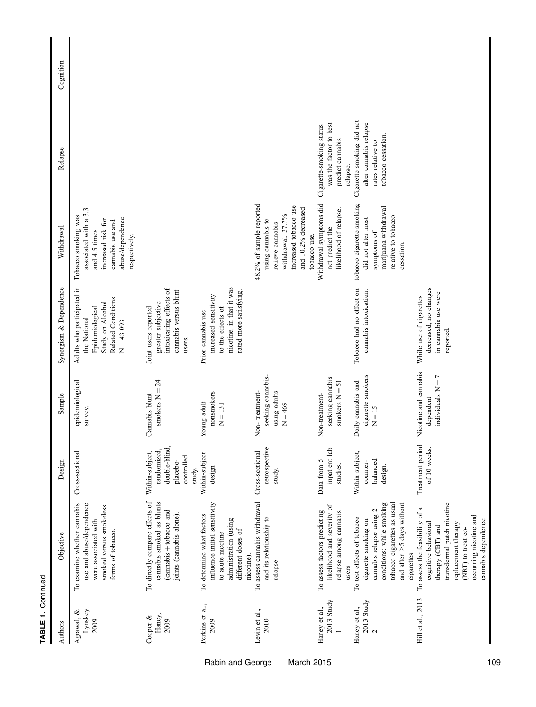| Authors                                 | Objective                                                                                                                                                                                                | Design                                                                              | Sample                                                           | Synergism & Dependence                                                                                                 | Withdrawal                                                                                                                                   | Relapse                                                                                                    | Cognition |
|-----------------------------------------|----------------------------------------------------------------------------------------------------------------------------------------------------------------------------------------------------------|-------------------------------------------------------------------------------------|------------------------------------------------------------------|------------------------------------------------------------------------------------------------------------------------|----------------------------------------------------------------------------------------------------------------------------------------------|------------------------------------------------------------------------------------------------------------|-----------|
| Lynskey,<br>Agrawal, &<br>2009          | use and abuse/dependence<br>To examine whether camabis<br>smoked versus smokeless<br>were associated with<br>forms of tobacco.                                                                           | Cross-sectional                                                                     | epidemiological<br>survey.                                       | Adults who participated in<br>Related Conditions<br>Study on Alcohol<br>Epidemiological<br>the National<br>$N = 43093$ | associated with a 3.3<br>Tobacco smoking was<br>abuse/dependence<br>increased risk for<br>cannabis use and<br>and 4.5 times<br>respectively. |                                                                                                            |           |
| Haney,<br>Cooper &<br>2009              | To directly compare effects of<br>cannabis smoked as blunts<br>(cannabis + tobacco and<br>joints (camabis alone).                                                                                        | double-blind,<br>randomized,<br>Within-subject,<br>controlled<br>placebo-<br>study. | smokers $N = 24$<br>Cannabis blunt                               | intoxicating effects of<br>cannabis versus blunt<br>greater subjective<br>Joint users reported<br>users.               |                                                                                                                                              |                                                                                                            |           |
| Perkins et al.,<br>2009                 | influence initial sensitivity<br>To determine what factors<br>administration (using<br>different doses of<br>to acute nicotine<br>nicotine).                                                             | Within-subject<br>design                                                            | nonsmokers<br>Young adult<br>$N = 131$                           | nicotine, in that it was<br>rated more satisfying.<br>increased sensitivity<br>to the effects of<br>Prior cannabis use |                                                                                                                                              |                                                                                                            |           |
| Levin et al.,<br>2010                   | To assess cannabis withdrawal<br>and its relationship to<br>relapse.                                                                                                                                     | retrospective<br>Cross-sectional<br>study.                                          | seeking cannabis-<br>Non-treatment-<br>using adults<br>$N = 469$ |                                                                                                                        | 48.2% of sample reported<br>increased tobacco use<br>and 10.2% decreased<br>withdrawal. 37.7%<br>using cannabis to<br>relieve cannabis       |                                                                                                            |           |
| $2013$ Study<br>Haney et al.,           | likelihood and severity of<br>To assess factors predicting<br>relapse among camabis                                                                                                                      | inpatient lab<br>Data from 5<br>studies.                                            | seeking cannabis<br>smokers $N = 51$<br>Non-treatment-           |                                                                                                                        | Withdrawal symptoms did<br>likelihood of relapse.<br>not predict the<br>tobacco use.                                                         | was the factor to best<br>Cigarette-smoking status<br>predict cannabis                                     |           |
| $2013$ Study<br>Haney et al.,<br>$\sim$ | tobacco cigarettes as usual<br>conditions: while smoking<br>and after $\geq$ 5 days without<br>cannabis relapse using 2<br>To test effects of tobacco<br>cigarette smoking on<br>cigarettes<br>users     | Within-subject,<br>balanced<br>counter-<br>design.                                  | cigarette smokers<br>Daily cannabis and<br>$N = 15$              | Tobacco had no effect on<br>cannabis intoxication.                                                                     | tobacco cigarette smoking<br>marijuana withdrawal<br>relative to tobacco<br>did not alter most<br>symptoms of<br>cessation.                  | Cigarette smoking did not<br>alter cannabis relapse<br>tobacco cessation.<br>rates relative to<br>relapse. |           |
| Hill et al., 2013                       | transdermal patch nicotine<br>To assess the feasibility of a<br>occurring nicotine and<br>cannabis dependence.<br>cognitive behavioral<br>replacement therapy<br>therapy (CBT) and<br>(NRT) to treat co- | Treatment period<br>of 10 weeks.                                                    | Nicotine and cannabis<br>individuals $N = 7$<br>dependent        | decreased, no changes<br>in cannabis use were<br>While use of cigarettes<br>reported.                                  |                                                                                                                                              |                                                                                                            |           |

TABLE 1. Continued TABLE 1. Continued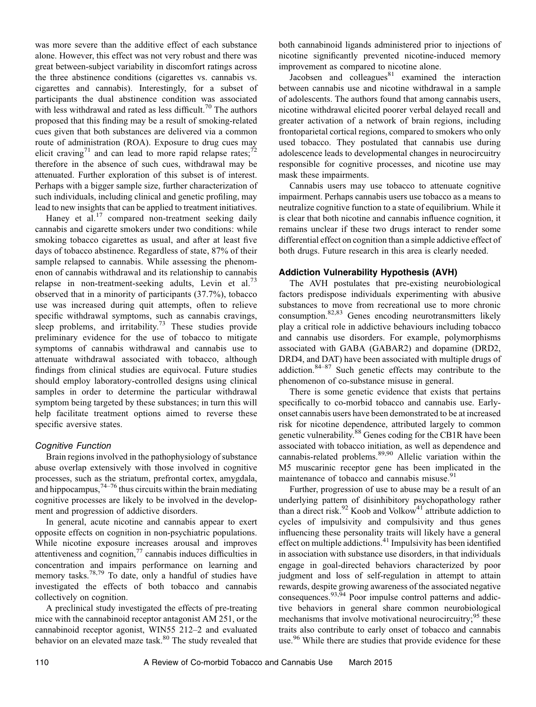was more severe than the additive effect of each substance alone. However, this effect was not very robust and there was great between-subject variability in discomfort ratings across the three abstinence conditions (cigarettes vs. cannabis vs. cigarettes and cannabis). Interestingly, for a subset of participants the dual abstinence condition was associated with less withdrawal and rated as less difficult.<sup>70</sup> The authors proposed that this finding may be a result of smoking-related cues given that both substances are delivered via a common route of administration (ROA). Exposure to drug cues may elicit craving<sup>71</sup> and can lead to more rapid relapse rates;<sup>72</sup> therefore in the absence of such cues, withdrawal may be attenuated. Further exploration of this subset is of interest. Perhaps with a bigger sample size, further characterization of such individuals, including clinical and genetic profiling, may lead to new insights that can be applied to treatment initiatives.

Haney et al.<sup>17</sup> compared non-treatment seeking daily cannabis and cigarette smokers under two conditions: while smoking tobacco cigarettes as usual, and after at least five days of tobacco abstinence. Regardless of state, 87% of their sample relapsed to cannabis. While assessing the phenomenon of cannabis withdrawal and its relationship to cannabis relapse in non-treatment-seeking adults, Levin et al.<sup>73</sup> observed that in a minority of participants (37.7%), tobacco use was increased during quit attempts, often to relieve specific withdrawal symptoms, such as cannabis cravings, sleep problems, and irritability.<sup>73</sup> These studies provide preliminary evidence for the use of tobacco to mitigate symptoms of cannabis withdrawal and cannabis use to attenuate withdrawal associated with tobacco, although findings from clinical studies are equivocal. Future studies should employ laboratory-controlled designs using clinical samples in order to determine the particular withdrawal symptom being targeted by these substances; in turn this will help facilitate treatment options aimed to reverse these specific aversive states.

#### Cognitive Function

Brain regions involved in the pathophysiology of substance abuse overlap extensively with those involved in cognitive processes, such as the striatum, prefrontal cortex, amygdala, and hippocampus,  $74-76$  thus circuits within the brain mediating cognitive processes are likely to be involved in the development and progression of addictive disorders.

In general, acute nicotine and cannabis appear to exert opposite effects on cognition in non-psychiatric populations. While nicotine exposure increases arousal and improves attentiveness and cognition, $77$  cannabis induces difficulties in concentration and impairs performance on learning and memory tasks.<sup>78,79</sup> To date, only a handful of studies have investigated the effects of both tobacco and cannabis collectively on cognition.

A preclinical study investigated the effects of pre-treating mice with the cannabinoid receptor antagonist AM 251, or the cannabinoid receptor agonist, WIN55 212–2 and evaluated behavior on an elevated maze task.<sup>80</sup> The study revealed that both cannabinoid ligands administered prior to injections of nicotine significantly prevented nicotine-induced memory improvement as compared to nicotine alone.

Jacobsen and colleagues $81$  examined the interaction between cannabis use and nicotine withdrawal in a sample of adolescents. The authors found that among cannabis users, nicotine withdrawal elicited poorer verbal delayed recall and greater activation of a network of brain regions, including frontoparietal cortical regions, compared to smokers who only used tobacco. They postulated that cannabis use during adolescence leads to developmental changes in neurocircuitry responsible for cognitive processes, and nicotine use may mask these impairments.

Cannabis users may use tobacco to attenuate cognitive impairment. Perhaps cannabis users use tobacco as a means to neutralize cognitive function to a state of equilibrium. While it is clear that both nicotine and cannabis influence cognition, it remains unclear if these two drugs interact to render some differential effect on cognition than a simple addictive effect of both drugs. Future research in this area is clearly needed.

# Addiction Vulnerability Hypothesis (AVH)

The AVH postulates that pre-existing neurobiological factors predispose individuals experimenting with abusive substances to move from recreational use to more chronic consumption.<sup>82,83</sup> Genes encoding neurotransmitters likely play a critical role in addictive behaviours including tobacco and cannabis use disorders. For example, polymorphisms associated with GABA (GABAR2) and dopamine (DRD2, DRD4, and DAT) have been associated with multiple drugs of addiction. $84-87$  Such genetic effects may contribute to the phenomenon of co-substance misuse in general.

There is some genetic evidence that exists that pertains specifically to co-morbid tobacco and cannabis use. Earlyonset cannabis users have been demonstrated to be at increased risk for nicotine dependence, attributed largely to common genetic vulnerability.<sup>88</sup> Genes coding for the CB1R have been associated with tobacco initiation, as well as dependence and cannabis-related problems.<sup>89,90</sup> Allelic variation within the M5 muscarinic receptor gene has been implicated in the maintenance of tobacco and cannabis misuse.<sup>91</sup>

Further, progression of use to abuse may be a result of an underlying pattern of disinhibitory psychopathology rather than a direct risk.<sup>92</sup> Koob and Volkow<sup>41</sup> attribute addiction to cycles of impulsivity and compulsivity and thus genes influencing these personality traits will likely have a general effect on multiple addictions.<sup>41</sup> Impulsivity has been identified in association with substance use disorders, in that individuals engage in goal-directed behaviors characterized by poor judgment and loss of self-regulation in attempt to attain rewards, despite growing awareness of the associated negative consequences.<sup>93,94</sup> Poor impulse control patterns and addictive behaviors in general share common neurobiological mechanisms that involve motivational neurocircuitry;  $95$  these traits also contribute to early onset of tobacco and cannabis use.<sup>96</sup> While there are studies that provide evidence for these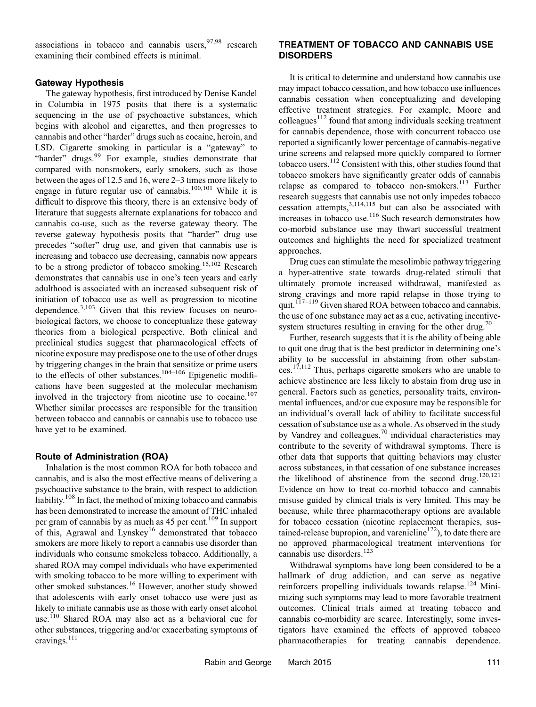associations in tobacco and cannabis users,  $97,98$  research examining their combined effects is minimal.

#### Gateway Hypothesis

The gateway hypothesis, first introduced by Denise Kandel in Columbia in 1975 posits that there is a systematic sequencing in the use of psychoactive substances, which begins with alcohol and cigarettes, and then progresses to cannabis and other "harder" drugs such as cocaine, heroin, and LSD. Cigarette smoking in particular is a "gateway" to "harder" drugs.<sup>99</sup> For example, studies demonstrate that compared with nonsmokers, early smokers, such as those between the ages of 12.5 and 16, were 2–3 times more likely to engage in future regular use of cannabis.<sup>100,101</sup> While it is difficult to disprove this theory, there is an extensive body of literature that suggests alternate explanations for tobacco and cannabis co-use, such as the reverse gateway theory. The reverse gateway hypothesis posits that "harder" drug use precedes "softer" drug use, and given that cannabis use is increasing and tobacco use decreasing, cannabis now appears to be a strong predictor of tobacco smoking.<sup>15,102</sup> Research demonstrates that cannabis use in one's teen years and early adulthood is associated with an increased subsequent risk of initiation of tobacco use as well as progression to nicotine dependence.<sup>3,103</sup> Given that this review focuses on neurobiological factors, we choose to conceptualize these gateway theories from a biological perspective. Both clinical and preclinical studies suggest that pharmacological effects of nicotine exposure may predispose one to the use of other drugs by triggering changes in the brain that sensitize or prime users to the effects of other substances.<sup>104–106</sup> Epigenetic modifications have been suggested at the molecular mechanism involved in the trajectory from nicotine use to cocaine.<sup>107</sup> Whether similar processes are responsible for the transition between tobacco and cannabis or cannabis use to tobacco use have yet to be examined.

#### Route of Administration (ROA)

Inhalation is the most common ROA for both tobacco and cannabis, and is also the most effective means of delivering a psychoactive substance to the brain, with respect to addiction liability.<sup>108</sup> In fact, the method of mixing tobacco and cannabis has been demonstrated to increase the amount of THC inhaled per gram of cannabis by as much as 45 per cent.<sup>109</sup> In support of this, Agrawal and Lynskey<sup>16</sup> demonstrated that tobacco smokers are more likely to report a cannabis use disorder than individuals who consume smokeless tobacco. Additionally, a shared ROA may compel individuals who have experimented with smoking tobacco to be more willing to experiment with other smoked substances.<sup>16</sup> However, another study showed that adolescents with early onset tobacco use were just as likely to initiate cannabis use as those with early onset alcohol use.<sup>110</sup> Shared ROA may also act as a behavioral cue for other substances, triggering and/or exacerbating symptoms of cravings.<sup>111</sup>

#### TREATMENT OF TOBACCO AND CANNABIS USE **DISORDERS**

It is critical to determine and understand how cannabis use may impact tobacco cessation, and how tobacco use influences cannabis cessation when conceptualizing and developing effective treatment strategies. For example, Moore and colleagues<sup>112</sup> found that among individuals seeking treatment for cannabis dependence, those with concurrent tobacco use reported a significantly lower percentage of cannabis-negative urine screens and relapsed more quickly compared to former tobacco users.112 Consistent with this, other studies found that tobacco smokers have significantly greater odds of cannabis relapse as compared to tobacco non-smokers.<sup>113</sup> Further research suggests that cannabis use not only impedes tobacco cessation attempts, $3,114,115$  but can also be associated with increases in tobacco use.<sup>116</sup> Such research demonstrates how co-morbid substance use may thwart successful treatment outcomes and highlights the need for specialized treatment approaches.

Drug cues can stimulate the mesolimbic pathway triggering a hyper-attentive state towards drug-related stimuli that ultimately promote increased withdrawal, manifested as strong cravings and more rapid relapse in those trying to quit.<sup>117–119</sup> Given shared ROA between tobacco and cannabis, the use of one substance may act as a cue, activating incentivesystem structures resulting in craving for the other drug.<sup>70</sup>

Further, research suggests that it is the ability of being able to quit one drug that is the best predictor in determining one's ability to be successful in abstaining from other substances.<sup>17,112</sup> Thus, perhaps cigarette smokers who are unable to achieve abstinence are less likely to abstain from drug use in general. Factors such as genetics, personality traits, environmental influences, and/or cue exposure may be responsible for an individual's overall lack of ability to facilitate successful cessation of substance use as a whole. As observed in the study by Vandrey and colleagues, $70$  individual characteristics may contribute to the severity of withdrawal symptoms. There is other data that supports that quitting behaviors may cluster across substances, in that cessation of one substance increases the likelihood of abstinence from the second drug.<sup>120,121</sup> Evidence on how to treat co-morbid tobacco and cannabis misuse guided by clinical trials is very limited. This may be because, while three pharmacotherapy options are available for tobacco cessation (nicotine replacement therapies, sustained-release bupropion, and varenicline<sup>122</sup>), to date there are no approved pharmacological treatment interventions for cannabis use disorders.<sup>123</sup>

Withdrawal symptoms have long been considered to be a hallmark of drug addiction, and can serve as negative reinforcers propelling individuals towards relapse.<sup>124</sup> Minimizing such symptoms may lead to more favorable treatment outcomes. Clinical trials aimed at treating tobacco and cannabis co-morbidity are scarce. Interestingly, some investigators have examined the effects of approved tobacco pharmacotherapies for treating cannabis dependence.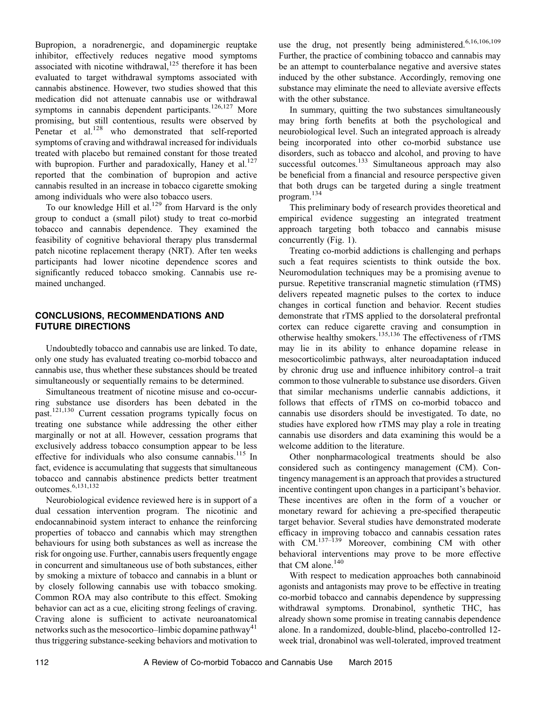Bupropion, a noradrenergic, and dopaminergic reuptake inhibitor, effectively reduces negative mood symptoms associated with nicotine withdrawal,<sup>125</sup> therefore it has been evaluated to target withdrawal symptoms associated with cannabis abstinence. However, two studies showed that this medication did not attenuate cannabis use or withdrawal symptoms in cannabis dependent participants.<sup>126,127</sup> More promising, but still contentious, results were observed by Penetar et al.<sup>128</sup> who demonstrated that self-reported symptoms of craving and withdrawal increased for individuals treated with placebo but remained constant for those treated with bupropion. Further and paradoxically, Haney et al.<sup>127</sup> reported that the combination of bupropion and active cannabis resulted in an increase in tobacco cigarette smoking among individuals who were also tobacco users.

To our knowledge Hill et al.<sup>129</sup> from Harvard is the only group to conduct a (small pilot) study to treat co-morbid tobacco and cannabis dependence. They examined the feasibility of cognitive behavioral therapy plus transdermal patch nicotine replacement therapy (NRT). After ten weeks participants had lower nicotine dependence scores and significantly reduced tobacco smoking. Cannabis use remained unchanged.

# CONCLUSIONS, RECOMMENDATIONS AND FUTURE DIRECTIONS

Undoubtedly tobacco and cannabis use are linked. To date, only one study has evaluated treating co-morbid tobacco and cannabis use, thus whether these substances should be treated simultaneously or sequentially remains to be determined.

Simultaneous treatment of nicotine misuse and co-occurring substance use disorders has been debated in the past.121,130 Current cessation programs typically focus on treating one substance while addressing the other either marginally or not at all. However, cessation programs that exclusively address tobacco consumption appear to be less effective for individuals who also consume cannabis.<sup>115</sup> In fact, evidence is accumulating that suggests that simultaneous tobacco and cannabis abstinence predicts better treatment outcomes.6,131,132

Neurobiological evidence reviewed here is in support of a dual cessation intervention program. The nicotinic and endocannabinoid system interact to enhance the reinforcing properties of tobacco and cannabis which may strengthen behaviours for using both substances as well as increase the risk for ongoing use. Further, cannabis users frequently engage in concurrent and simultaneous use of both substances, either by smoking a mixture of tobacco and cannabis in a blunt or by closely following cannabis use with tobacco smoking. Common ROA may also contribute to this effect. Smoking behavior can act as a cue, eliciting strong feelings of craving. Craving alone is sufficient to activate neuroanatomical networks such as the mesocortico–limbic dopamine pathway<sup>41</sup> thus triggering substance-seeking behaviors and motivation to use the drug, not presently being administered.<sup>6,16,106,109</sup> Further, the practice of combining tobacco and cannabis may be an attempt to counterbalance negative and aversive states induced by the other substance. Accordingly, removing one substance may eliminate the need to alleviate aversive effects with the other substance.

In summary, quitting the two substances simultaneously may bring forth benefits at both the psychological and neurobiological level. Such an integrated approach is already being incorporated into other co-morbid substance use disorders, such as tobacco and alcohol, and proving to have successful outcomes.<sup>133</sup> Simultaneous approach may also be beneficial from a financial and resource perspective given that both drugs can be targeted during a single treatment program.<sup>134</sup>

This preliminary body of research provides theoretical and empirical evidence suggesting an integrated treatment approach targeting both tobacco and cannabis misuse concurrently (Fig. 1).

Treating co-morbid addictions is challenging and perhaps such a feat requires scientists to think outside the box. Neuromodulation techniques may be a promising avenue to pursue. Repetitive transcranial magnetic stimulation (rTMS) delivers repeated magnetic pulses to the cortex to induce changes in cortical function and behavior. Recent studies demonstrate that rTMS applied to the dorsolateral prefrontal cortex can reduce cigarette craving and consumption in otherwise healthy smokers.<sup>135,136</sup> The effectiveness of rTMS may lie in its ability to enhance dopamine release in mesocorticolimbic pathways, alter neuroadaptation induced by chronic drug use and influence inhibitory control–a trait common to those vulnerable to substance use disorders. Given that similar mechanisms underlie cannabis addictions, it follows that effects of rTMS on co-morbid tobacco and cannabis use disorders should be investigated. To date, no studies have explored how rTMS may play a role in treating cannabis use disorders and data examining this would be a welcome addition to the literature.

Other nonpharmacological treatments should be also considered such as contingency management (CM). Contingency management is an approach that provides a structured incentive contingent upon changes in a participant's behavior. These incentives are often in the form of a voucher or monetary reward for achieving a pre-specified therapeutic target behavior. Several studies have demonstrated moderate efficacy in improving tobacco and cannabis cessation rates with CM.<sup>137–139</sup> Moreover, combining CM with other behavioral interventions may prove to be more effective that CM alone.<sup>140</sup>

With respect to medication approaches both cannabinoid agonists and antagonists may prove to be effective in treating co-morbid tobacco and cannabis dependence by suppressing withdrawal symptoms. Dronabinol, synthetic THC, has already shown some promise in treating cannabis dependence alone. In a randomized, double-blind, placebo-controlled 12 week trial, dronabinol was well-tolerated, improved treatment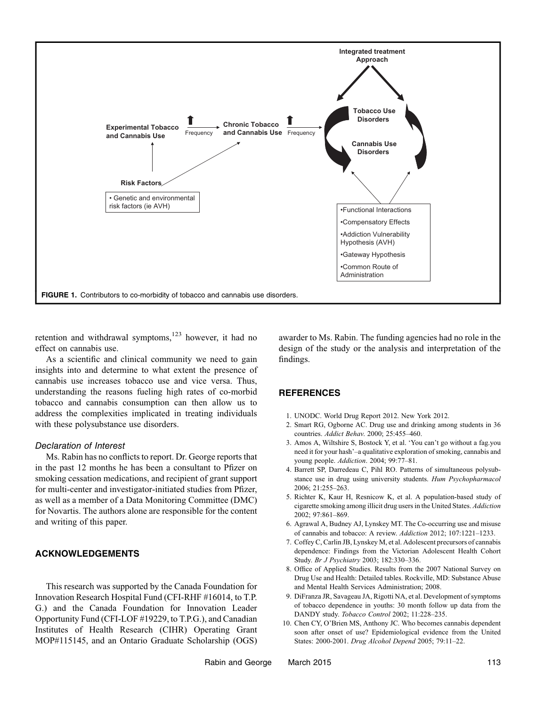

retention and withdrawal symptoms, $123$  however, it had no effect on cannabis use.

As a scientific and clinical community we need to gain insights into and determine to what extent the presence of cannabis use increases tobacco use and vice versa. Thus, understanding the reasons fueling high rates of co-morbid tobacco and cannabis consumption can then allow us to address the complexities implicated in treating individuals with these polysubstance use disorders.

#### Declaration of Interest

Ms. Rabin has no conflicts to report. Dr. George reports that in the past 12 months he has been a consultant to Pfizer on smoking cessation medications, and recipient of grant support for multi-center and investigator-initiated studies from Pfizer, as well as a member of a Data Monitoring Committee (DMC) for Novartis. The authors alone are responsible for the content and writing of this paper.

#### ACKNOWLEDGEMENTS

This research was supported by the Canada Foundation for Innovation Research Hospital Fund (CFI-RHF #16014, to T.P. G.) and the Canada Foundation for Innovation Leader Opportunity Fund (CFI-LOF #19229, to T.P.G.), and Canadian Institutes of Health Research (CIHR) Operating Grant MOP#115145, and an Ontario Graduate Scholarship (OGS)

awarder to Ms. Rabin. The funding agencies had no role in the design of the study or the analysis and interpretation of the findings.

# REFERENCES

- 1. UNODC. World Drug Report 2012. New York 2012.
- 2. Smart RG, Ogborne AC. Drug use and drinking among students in 36 countries. Addict Behav. 2000; 25:455–460.
- 3. Amos A, Wiltshire S, Bostock Y, et al. 'You can't go without a fag.you need it for your hash'–a qualitative exploration of smoking, cannabis and young people. Addiction. 2004; 99:77–81.
- 4. Barrett SP, Darredeau C, Pihl RO. Patterns of simultaneous polysubstance use in drug using university students. Hum Psychopharmacol 2006; 21:255–263.
- 5. Richter K, Kaur H, Resnicow K, et al. A population-based study of cigarette smoking among illicit drug users in the United States. Addiction 2002; 97:861–869.
- 6. Agrawal A, Budney AJ, Lynskey MT. The Co-occurring use and misuse of cannabis and tobacco: A review. Addiction 2012; 107:1221–1233.
- 7. Coffey C, Carlin JB, Lynskey M, et al. Adolescent precursors of cannabis dependence: Findings from the Victorian Adolescent Health Cohort Study. Br J Psychiatry 2003; 182:330–336.
- 8. Office of Applied Studies. Results from the 2007 National Survey on Drug Use and Health: Detailed tables. Rockville, MD: Substance Abuse and Mental Health Services Administration; 2008.
- 9. DiFranza JR, Savageau JA, Rigotti NA, et al. Development of symptoms of tobacco dependence in youths: 30 month follow up data from the DANDY study. Tobacco Control 2002; 11:228–235.
- 10. Chen CY, O'Brien MS, Anthony JC. Who becomes cannabis dependent soon after onset of use? Epidemiological evidence from the United States: 2000-2001. Drug Alcohol Depend 2005; 79:11–22.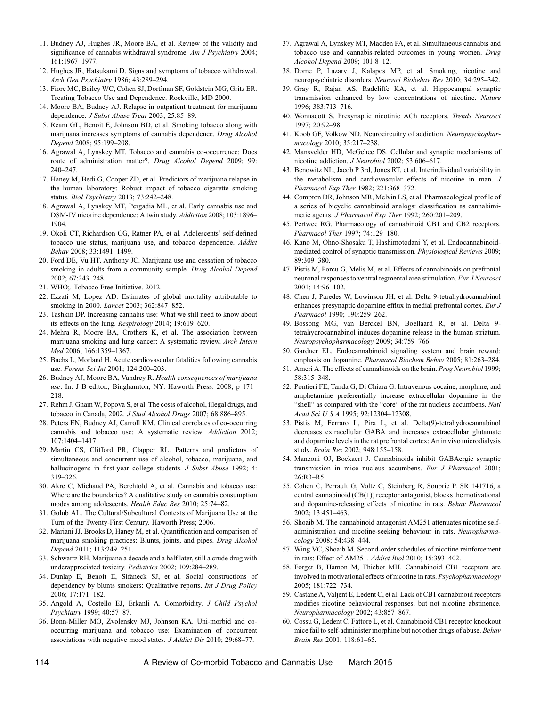- 11. Budney AJ, Hughes JR, Moore BA, et al. Review of the validity and significance of cannabis withdrawal syndrome. Am J Psychiatry 2004; 161:1967–1977.
- 12. Hughes JR, Hatsukami D. Signs and symptoms of tobacco withdrawal. Arch Gen Psychiatry 1986; 43:289–294.
- 13. Fiore MC, Bailey WC, Cohen SJ, Dorfman SF, Goldstein MG, Gritz ER. Treating Tobacco Use and Dependence. Rockville, MD 2000.
- 14. Moore BA, Budney AJ. Relapse in outpatient treatment for marijuana dependence. J Subst Abuse Treat 2003; 25:85–89.
- 15. Ream GL, Benoit E, Johnson BD, et al. Smoking tobacco along with marijuana increases symptoms of cannabis dependence. Drug Alcohol Depend 2008; 95:199–208.
- 16. Agrawal A, Lynskey MT. Tobacco and cannabis co-occurrence: Does route of administration matter?. Drug Alcohol Depend 2009; 99: 240–247.
- 17. Haney M, Bedi G, Cooper ZD, et al. Predictors of marijuana relapse in the human laboratory: Robust impact of tobacco cigarette smoking status. Biol Psychiatry 2013; 73:242–248.
- 18. Agrawal A, Lynskey MT, Pergadia ML, et al. Early cannabis use and DSM-IV nicotine dependence: A twin study. Addiction 2008; 103:1896– 1904.
- 19. Okoli CT, Richardson CG, Ratner PA, et al. Adolescents' self-defined tobacco use status, marijuana use, and tobacco dependence. Addict Behav 2008; 33:1491–1499.
- 20. Ford DE, Vu HT, Anthony JC. Marijuana use and cessation of tobacco smoking in adults from a community sample. Drug Alcohol Depend 2002; 67:243–248.
- 21. WHO;. Tobacco Free Initiative. 2012.
- 22. Ezzati M, Lopez AD. Estimates of global mortality attributable to smoking in 2000. Lancet 2003; 362:847–852.
- 23. Tashkin DP. Increasing cannabis use: What we still need to know about its effects on the lung. Respirology 2014; 19:619–620.
- 24. Mehra R, Moore BA, Crothers K, et al. The association between marijuana smoking and lung cancer: A systematic review. Arch Intern Med 2006; 166:1359–1367.
- 25. Bachs L, Morland H. Acute cardiovascular fatalities following cannabis use. Forens Sci Int 2001; 124:200–203.
- 26. Budney AJ, Moore BA, Vandrey R. Health consequences of marijuana use. In: J B editor., Binghamton, NY: Haworth Press. 2008; p 171– 218.
- 27. Rehm J, Gnam W, Popova S, et al. The costs of alcohol, illegal drugs, and tobacco in Canada, 2002. J Stud Alcohol Drugs 2007; 68:886–895.
- 28. Peters EN, Budney AJ, Carroll KM. Clinical correlates of co-occurring cannabis and tobacco use: A systematic review. Addiction 2012; 107:1404–1417.
- 29. Martin CS, Clifford PR, Clapper RL. Patterns and predictors of simultaneous and concurrent use of alcohol, tobacco, marijuana, and hallucinogens in first-year college students. J Subst Abuse 1992; 4: 319–326.
- 30. Akre C, Michaud PA, Berchtold A, et al. Cannabis and tobacco use: Where are the boundaries? A qualitative study on cannabis consumption modes among adolescents. Health Educ Res 2010; 25:74–82.
- 31. Golub AL. The Cultural/Subcultural Contexts of Marijuana Use at the Turn of the Twenty-First Century. Haworth Press; 2006.
- 32. Mariani JJ, Brooks D, Haney M, et al. Quantification and comparison of marijuana smoking practices: Blunts, joints, and pipes. Drug Alcohol Depend 2011; 113:249–251.
- 33. Schwartz RH. Marijuana a decade and a half later, still a crude drug with underappreciated toxicity. Pediatrics 2002; 109:284–289.
- 34. Dunlap E, Benoit E, Sifaneck SJ, et al. Social constructions of dependency by blunts smokers: Qualitative reports. Int J Drug Policy 2006; 17:171–182.
- 35. Angold A, Costello EJ, Erkanli A. Comorbidity. J Child Psychol Psychiatry 1999; 40:57–87.
- 36. Bonn-Miller MO, Zvolensky MJ, Johnson KA. Uni-morbid and cooccurring marijuana and tobacco use: Examination of concurrent associations with negative mood states. J Addict Dis 2010; 29:68–77.
- 37. Agrawal A, Lynskey MT, Madden PA, et al. Simultaneous cannabis and tobacco use and cannabis-related outcomes in young women. Drug Alcohol Depend 2009; 101:8–12.
- 38. Dome P, Lazary J, Kalapos MP, et al. Smoking, nicotine and neuropsychiatric disorders. Neurosci Biobehav Rev 2010; 34:295–342.
- 39. Gray R, Rajan AS, Radcliffe KA, et al. Hippocampal synaptic transmission enhanced by low concentrations of nicotine. Nature 1996; 383:713–716.
- 40. Wonnacott S. Presynaptic nicotinic ACh receptors. Trends Neurosci 1997; 20:92–98.
- 41. Koob GF, Volkow ND. Neurocircuitry of addiction. Neuropsychopharmacology 2010; 35:217–238.
- 42. Mansvelder HD, McGehee DS. Cellular and synaptic mechanisms of nicotine addiction. J Neurobiol 2002; 53:606–617.
- 43. Benowitz NL, Jacob P 3rd, Jones RT, et al. Interindividual variability in the metabolism and cardiovascular effects of nicotine in man. J Pharmacol Exp Ther 1982; 221:368–372.
- 44. Compton DR, Johnson MR, Melvin LS, et al. Pharmacological profile of a series of bicyclic cannabinoid analogs: classification as cannabimimetic agents. J Pharmacol Exp Ther 1992; 260:201–209.
- 45. Pertwee RG. Pharmacology of cannabinoid CB1 and CB2 receptors. Pharmacol Ther 1997; 74:129–180.
- 46. Kano M, Ohno-Shosaku T, Hashimotodani Y, et al. Endocannabinoidmediated control of synaptic transmission. Physiological Reviews 2009; 89:309–380.
- 47. Pistis M, Porcu G, Melis M, et al. Effects of cannabinoids on prefrontal neuronal responses to ventral tegmental area stimulation. Eur J Neurosci 2001; 14:96–102.
- 48. Chen J, Paredes W, Lowinson JH, et al. Delta 9-tetrahydrocannabinol enhances presynaptic dopamine efflux in medial prefrontal cortex. Eur J Pharmacol 1990; 190:259–262.
- 49. Bossong MG, van Berckel BN, Boellaard R, et al. Delta 9 tetrahydrocannabinol induces dopamine release in the human striatum. Neuropsychopharmacology 2009; 34:759–766.
- 50. Gardner EL. Endocannabinoid signaling system and brain reward: emphasis on dopamine. Pharmacol Biochem Behav 2005; 81:263–284.
- 51. Ameri A. The effects of cannabinoids on the brain. Prog Neurobiol 1999; 58:315–348.
- 52. Pontieri FE, Tanda G, Di Chiara G. Intravenous cocaine, morphine, and amphetamine preferentially increase extracellular dopamine in the "shell" as compared with the "core" of the rat nucleus accumbens. Natl Acad Sci U S A 1995; 92:12304–12308.
- 53. Pistis M, Ferraro L, Pira L, et al. Delta(9)-tetrahydrocannabinol decreases extracellular GABA and increases extracellular glutamate and dopamine levels in the rat prefrontal cortex: An in vivo microdialysis study. Brain Res 2002; 948:155–158.
- 54. Manzoni OJ, Bockaert J. Cannabinoids inhibit GABAergic synaptic transmission in mice nucleus accumbens. Eur J Pharmacol 2001; 26:R3–R5.
- 55. Cohen C, Perrault G, Voltz C, Steinberg R, Soubrie P. SR 141716, a central cannabinoid (CB(1)) receptor antagonist, blocks the motivational and dopamine-releasing effects of nicotine in rats. Behav Pharmacol 2002; 13:451–463.
- 56. Shoaib M. The cannabinoid antagonist AM251 attenuates nicotine selfadministration and nicotine-seeking behaviour in rats. Neuropharmacology 2008; 54:438–444.
- 57. Wing VC, Shoaib M. Second-order schedules of nicotine reinforcement in rats: Effect of AM251. Addict Biol 2010; 15:393–402.
- 58. Forget B, Hamon M, Thiebot MH. Cannabinoid CB1 receptors are involved in motivational effects of nicotine in rats. Psychopharmacology 2005; 181:722–734.
- 59. Castane A, Valjent E, Ledent C, et al. Lack of CB1 cannabinoid receptors modifies nicotine behavioural responses, but not nicotine abstinence. Neuropharmacology 2002; 43:857–867.
- 60. Cossu G, Ledent C, Fattore L, et al. Cannabinoid CB1 receptor knockout mice fail to self-administer morphine but not other drugs of abuse. Behav Brain Res 2001; 118:61–65.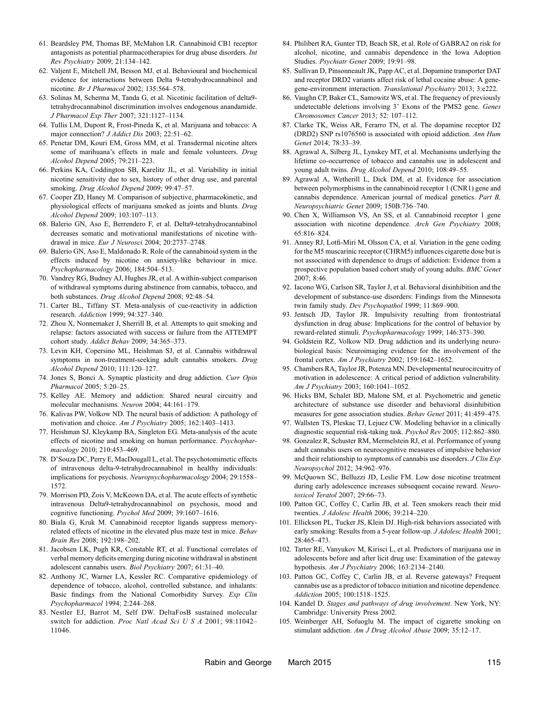- 61. Beardsley PM, Thomas BF, McMahon LR. Cannabinoid CB1 receptor antagonists as potential pharmacotherapies for drug abuse disorders. Int Rev Psychiatry 2009; 21:134–142.
- 62. Valjent E, Mitchell JM, Besson MJ, et al. Behavioural and biochemical evidence for interactions between Delta 9-tetrahydrocannabinol and nicotine. Br J Pharmacol 2002; 135:564–578.
- 63. Solinas M, Scherma M, Tanda G, et al. Nicotinic facilitation of delta9 tetrahydrocannabinol discrimination involves endogenous anandamide. J Pharmacol Exp Ther 2007; 321:1127–1134.
- 64. Tullis LM, Dupont R, Frost-Pineda K, et al. Marijuana and tobacco: A major connection? J Addict Dis 2003; 22:51–62.
- 65. Penetar DM, Kouri EM, Gross MM, et al. Transdermal nicotine alters some of marihuana's effects in male and female volunteers. Drug Alcohol Depend 2005; 79:211–223.
- 66. Perkins KA, Coddington SB, Karelitz JL, et al. Variability in initial nicotine sensitivity due to sex, history of other drug use, and parental smoking. Drug Alcohol Depend 2009; 99:47–57.
- 67. Cooper ZD, Haney M. Comparison of subjective, pharmacokinetic, and physiological effects of marijuana smoked as joints and blunts. Drug Alcohol Depend 2009; 103:107–113.
- 68. Balerio GN, Aso E, Berrendero F, et al. Delta9-tetrahydrocannabinol decreases somatic and motivational manifestations of nicotine withdrawal in mice. Eur J Neurosci 2004; 20:2737–2748.
- 69. Balerio GN, Aso E, Maldonado R. Role of the cannabinoid system in the effects induced by nicotine on anxiety-like behaviour in mice. Psychopharmacology 2006; 184:504–513.
- 70. Vandrey RG, Budney AJ, Hughes JR, et al. A within-subject comparison of withdrawal symptoms during abstinence from cannabis, tobacco, and both substances. Drug Alcohol Depend 2008; 92:48–54.
- 71. Carter BL, Tiffany ST. Meta-analysis of cue-reactivity in addiction research. Addiction 1999; 94:327–340.
- 72. Zhou X, Nonnemaker J, Sherrill B, et al. Attempts to quit smoking and relapse: factors associated with success or failure from the ATTEMPT cohort study. Addict Behav 2009; 34:365–373.
- 73. Levin KH, Copersino ML, Heishman SJ, et al. Cannabis withdrawal symptoms in non-treatment-seeking adult cannabis smokers. Drug Alcohol Depend 2010; 111:120–127.
- 74. Jones S, Bonci A. Synaptic plasticity and drug addiction. Curr Opin Pharmacol 2005; 5:20–25.
- 75. Kelley AE. Memory and addiction: Shared neural circuitry and molecular mechanisms. Neuron 2004; 44:161–179.
- 76. Kalivas PW, Volkow ND. The neural basis of addiction: A pathology of motivation and choice. Am J Psychiatry 2005; 162:1403–1413.
- 77. Heishman SJ, Kleykamp BA, Singleton EG. Meta-analysis of the acute effects of nicotine and smoking on human performance. Psychopharmacology 2010; 210:453–469.
- 78. D'Souza DC, Perry E, MacDougall L, et al. The psychotomimetic effects of intravenous delta-9-tetrahydrocannabinol in healthy individuals: implications for psychosis. Neuropsychopharmacology 2004; 29:1558– 1572.
- 79. Morrison PD, Zois V, McKeown DA, et al. The acute effects of synthetic intravenous Delta9-tetrahydrocannabinol on psychosis, mood and cognitive functioning. Psychol Med 2009; 39:1607–1616.
- 80. Biala G, Kruk M. Cannabinoid receptor ligands suppress memoryrelated effects of nicotine in the elevated plus maze test in mice. Behav Brain Res 2008; 192:198–202.
- 81. Jacobsen LK, Pugh KR, Constable RT, et al. Functional correlates of verbal memory deficits emerging during nicotine withdrawal in abstinent adolescent cannabis users. Biol Psychiatry 2007; 61:31–40.
- 82. Anthony JC, Warner LA, Kessler RC. Comparative epidemiology of dependence of tobacco, alcohol, controlled substance, and inhalants: Basic findings from the National Comorbidity Survey. Exp Clin Psychopharmacol 1994; 2:244–268.
- 83. Nestler EJ, Barrot M, Self DW. DeltaFosB sustained molecular switch for addiction. Proc Natl Acad Sci U S A 2001; 98:11042-11046.
- 84. Philibert RA, Gunter TD, Beach SR, et al. Role of GABRA2 on risk for alcohol, nicotine, and cannabis dependence in the Iowa Adoption Studies. Psychiatr Genet 2009; 19:91–98.
- 85. Sullivan D, Pinsonneault JK, Papp AC, et al. Dopamine transporter DAT and receptor DRD2 variants affect risk of lethal cocaine abuse: A genegene-environment interaction. Translational Psychiatry 2013; 3:e222.
- 86. Vaughn CP, Baker CL, Samowitz WS, et al. The frequency of previously undetectable deletions involving 3' Exons of the PMS2 gene. Genes Chromosomes Cancer 2013; 52: 107–112.
- 87. Clarke TK, Weiss AR, Ferarro TN, et al. The dopamine receptor D2 (DRD2) SNP rs1076560 is associated with opioid addiction. Ann Hum Genet 2014; 78:33–39.
- 88. Agrawal A, Silberg JL, Lynskey MT, et al. Mechanisms underlying the lifetime co-occurrence of tobacco and cannabis use in adolescent and young adult twins. Drug Alcohol Depend 2010; 108:49–55.
- 89. Agrawal A, Wetherill L, Dick DM, et al. Evidence for association between polymorphisms in the cannabinoid receptor 1 (CNR1) gene and cannabis dependence. American journal of medical genetics. Part B, Neuropsychiatric Genet 2009; 150B:736–740.
- 90. Chen X, Williamson VS, An SS, et al. Cannabinoid receptor 1 gene association with nicotine dependence. Arch Gen Psychiatry 2008; 65:816–824.
- 91. Anney RJ, Lotfi-Miri M, Olsson CA, et al. Variation in the gene coding for the M5 muscarinic receptor (CHRM5) influences cigarette dose but is not associated with dependence to drugs of addiction: Evidence from a prospective population based cohort study of young adults. BMC Genet 2007; 8:46.
- 92. Iacono WG, Carlson SR, Taylor J, et al. Behavioral disinhibition and the development of substance-use disorders: Findings from the Minnesota twin family study. Dev Psychopathol 1999; 11:869–900.
- 93. Jentsch JD, Taylor JR. Impulsivity resulting from frontostriatal dysfunction in drug abuse: Implications for the control of behavior by reward-related stimuli. Psychopharmacology 1999; 146:373–390.
- 94. Goldstein RZ, Volkow ND. Drug addiction and its underlying neurobiological basis: Neuroimaging evidence for the involvement of the frontal cortex. Am J Psychiatry 2002; 159:1642–1652.
- 95. Chambers RA, Taylor JR, Potenza MN. Developmental neurocircuitry of motivation in adolescence: A critical period of addiction vulnerability. Am J Psychiatry 2003; 160:1041–1052.
- 96. Hicks BM, Schalet BD, Malone SM, et al. Psychometric and genetic architecture of substance use disorder and behavioral disinhibition measures for gene association studies. Behav Genet 2011; 41:459–475.
- 97. Wallsten TS, Pleskac TJ, Lejuez CW. Modeling behavior in a clinically diagnostic sequential risk-taking task. Psychol Rev 2005; 112:862–880.
- 98. Gonzalez R, Schuster RM, Mermelstein RJ, et al. Performance of young adult cannabis users on neurocognitive measures of impulsive behavior and their relationship to symptoms of cannabis use disorders. J Clin Exp Neuropsychol 2012; 34:962–976.
- 99. McQuown SC, Belluzzi JD, Leslie FM. Low dose nicotine treatment during early adolescence increases subsequent cocaine reward. Neurotoxicol Teratol 2007; 29:66–73.
- 100. Patton GC, Coffey C, Carlin JB, et al. Teen smokers reach their mid twenties. J Adolesc Health 2006; 39:214–220.
- 101. Ellickson PL, Tucker JS, Klein DJ. High-risk behaviors associated with early smoking: Results from a 5-year follow-up. J Adolesc Health 2001; 28:465–473.
- 102. Tarter RE, Vanyukov M, Kirisci L, et al. Predictors of marijuana use in adolescents before and after licit drug use: Examination of the gateway hypothesis. Am J Psychiatry 2006; 163:2134–2140.
- 103. Patton GC, Coffey C, Carlin JB, et al. Reverse gateways? Frequent cannabis use as a predictor of tobacco initiation and nicotine dependence. Addiction 2005; 100:1518–1525.
- 104. Kandel D. Stages and pathways of drug involvement. New York, NY: Cambridge: University Press 2002.
- 105. Weinberger AH, Sofuoglu M. The impact of cigarette smoking on stimulant addiction. Am J Drug Alcohol Abuse 2009; 35:12–17.